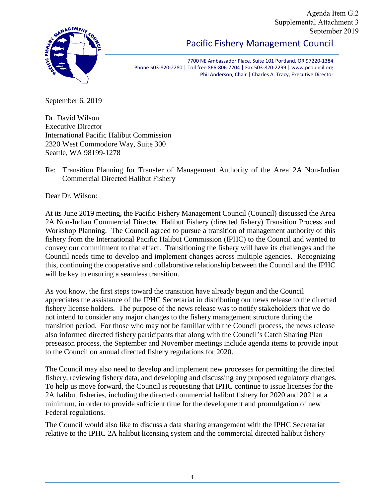Agenda Item G.2 Supplemental Attachment 3 September 2019



## Pacific Fishery Management Council

7700 NE Ambassador Place, Suite 101 Portland, OR 97220-1384 Phone 503-820-2280 | Toll free 866-806-7204 | Fax 503-820-2299 | www.pcouncil.org Phil Anderson, Chair | Charles A. Tracy, Executive Director

September 6, 2019

Dr. David Wilson Executive Director International Pacific Halibut Commission 2320 West Commodore Way, Suite 300 Seattle, WA 98199-1278

Re: Transition Planning for Transfer of Management Authority of the Area 2A Non-Indian Commercial Directed Halibut Fishery

Dear Dr. Wilson:

At its June 2019 meeting, the Pacific Fishery Management Council (Council) discussed the Area 2A Non-Indian Commercial Directed Halibut Fishery (directed fishery) Transition Process and Workshop Planning. The Council agreed to pursue a transition of management authority of this fishery from the International Pacific Halibut Commission (IPHC) to the Council and wanted to convey our commitment to that effect. Transitioning the fishery will have its challenges and the Council needs time to develop and implement changes across multiple agencies. Recognizing this, continuing the cooperative and collaborative relationship between the Council and the IPHC will be key to ensuring a seamless transition.

As you know, the first steps toward the transition have already begun and the Council appreciates the assistance of the IPHC Secretariat in distributing our news release to the directed fishery license holders. The purpose of the news release was to notify stakeholders that we do not intend to consider any major changes to the fishery management structure during the transition period. For those who may not be familiar with the Council process, the news release also informed directed fishery participants that along with the Council's Catch Sharing Plan preseason process, the September and November meetings include agenda items to provide input to the Council on annual directed fishery regulations for 2020.

The Council may also need to develop and implement new processes for permitting the directed fishery, reviewing fishery data, and developing and discussing any proposed regulatory changes. To help us move forward, the Council is requesting that IPHC continue to issue licenses for the 2A halibut fisheries, including the directed commercial halibut fishery for 2020 and 2021 at a minimum, in order to provide sufficient time for the development and promulgation of new Federal regulations.

The Council would also like to discuss a data sharing arrangement with the IPHC Secretariat relative to the IPHC 2A halibut licensing system and the commercial directed halibut fishery